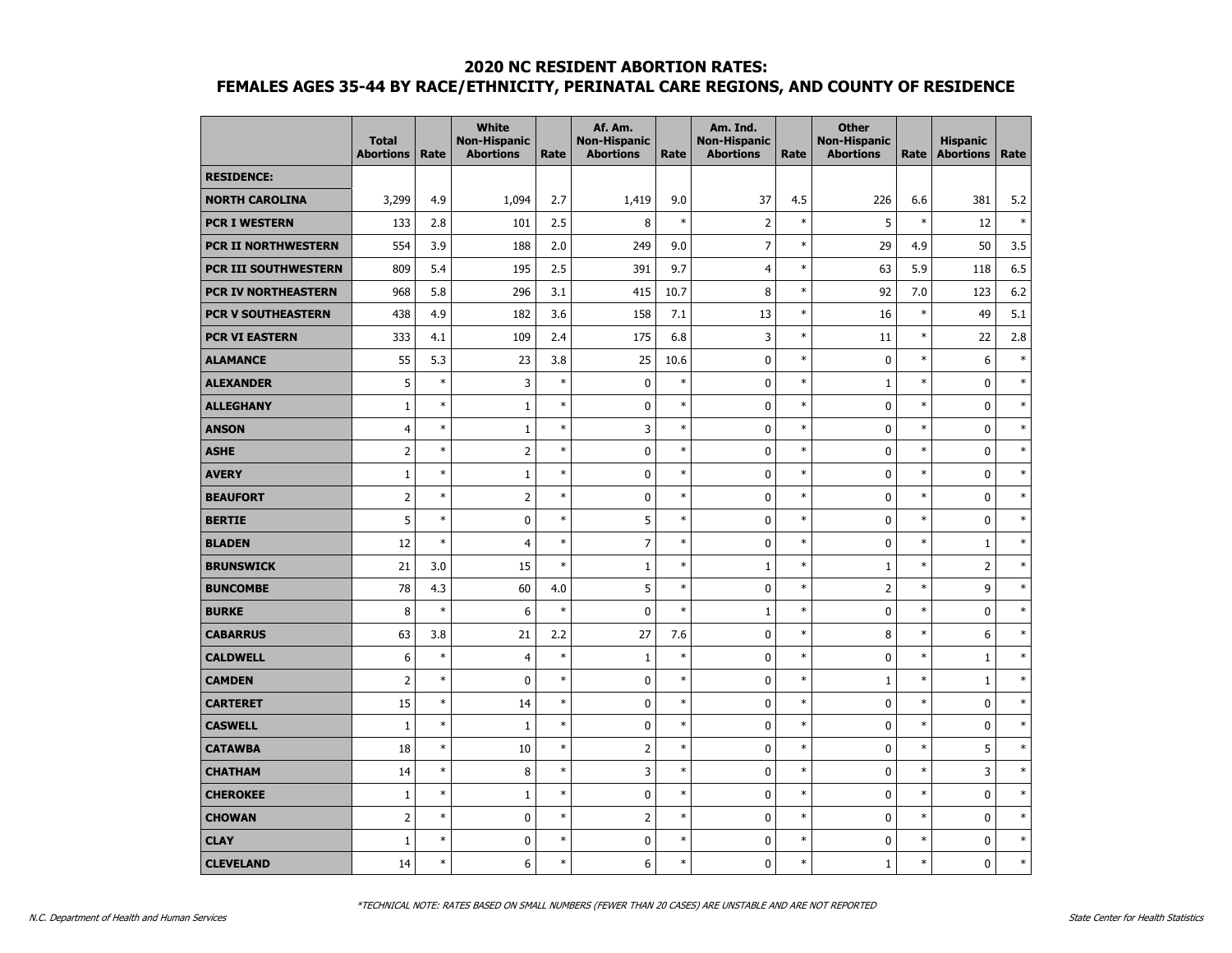|                            | <b>Total</b><br><b>Abortions</b> | Rate   | <b>White</b><br><b>Non-Hispanic</b><br><b>Abortions</b> | Rate   | Af. Am.<br><b>Non-Hispanic</b><br><b>Abortions</b> | Rate   | Am. Ind.<br><b>Non-Hispanic</b><br><b>Abortions</b> | Rate   | <b>Other</b><br><b>Non-Hispanic</b><br><b>Abortions</b> | Rate   | <b>Hispanic</b><br><b>Abortions</b> | Rate   |
|----------------------------|----------------------------------|--------|---------------------------------------------------------|--------|----------------------------------------------------|--------|-----------------------------------------------------|--------|---------------------------------------------------------|--------|-------------------------------------|--------|
| <b>RESIDENCE:</b>          |                                  |        |                                                         |        |                                                    |        |                                                     |        |                                                         |        |                                     |        |
| <b>NORTH CAROLINA</b>      | 3,299                            | 4.9    | 1,094                                                   | 2.7    | 1,419                                              | 9.0    | 37                                                  | 4.5    | 226                                                     | 6.6    | 381                                 | 5.2    |
| <b>PCR I WESTERN</b>       | 133                              | 2.8    | 101                                                     | 2.5    | 8                                                  | $\ast$ | $\overline{2}$                                      | $\ast$ | 5                                                       | $\ast$ | 12                                  | $\ast$ |
| <b>PCR II NORTHWESTERN</b> | 554                              | 3.9    | 188                                                     | 2.0    | 249                                                | 9.0    | $\overline{7}$                                      | $\ast$ | 29                                                      | 4.9    | 50                                  | 3.5    |
| PCR III SOUTHWESTERN       | 809                              | 5.4    | 195                                                     | 2.5    | 391                                                | 9.7    | $\overline{4}$                                      | $\ast$ | 63                                                      | 5.9    | 118                                 | 6.5    |
| PCR IV NORTHEASTERN        | 968                              | 5.8    | 296                                                     | 3.1    | 415                                                | 10.7   | 8                                                   | $\ast$ | 92                                                      | 7.0    | 123                                 | 6.2    |
| <b>PCR V SOUTHEASTERN</b>  | 438                              | 4.9    | 182                                                     | 3.6    | 158                                                | 7.1    | 13                                                  | $\ast$ | 16                                                      | $\ast$ | 49                                  | 5.1    |
| <b>PCR VI EASTERN</b>      | 333                              | 4.1    | 109                                                     | 2.4    | 175                                                | 6.8    | 3                                                   | $\ast$ | 11                                                      | $\ast$ | 22                                  | 2.8    |
| <b>ALAMANCE</b>            | 55                               | 5.3    | 23                                                      | 3.8    | 25                                                 | 10.6   | 0                                                   | $\ast$ | $\mathbf 0$                                             | $\ast$ | 6                                   | $\ast$ |
| <b>ALEXANDER</b>           | 5                                | $\ast$ | 3                                                       | $\ast$ | 0                                                  | $\ast$ | 0                                                   | $\ast$ | $1\,$                                                   | $\ast$ | $\bf{0}$                            | $\ast$ |
| <b>ALLEGHANY</b>           | $1\,$                            | $\ast$ | $\mathbf 1$                                             | $\ast$ | $\pmb{0}$                                          | $\ast$ | 0                                                   | $\ast$ | $\mathbf 0$                                             | $\ast$ | $\mathbf 0$                         | $\ast$ |
| <b>ANSON</b>               | $\overline{4}$                   | $\ast$ | $\mathbf{1}$                                            | $\ast$ | $\overline{3}$                                     | $\ast$ | 0                                                   | $\ast$ | $\mathbf{0}$                                            | $\ast$ | 0                                   | $\ast$ |
| <b>ASHE</b>                | $\overline{2}$                   | $\ast$ | $\overline{2}$                                          | $\ast$ | $\mathbf 0$                                        | $\ast$ | 0                                                   | $\ast$ | $\mathbf{0}$                                            | $\ast$ | 0                                   | $\ast$ |
| <b>AVERY</b>               | $\mathbf{1}$                     | $\ast$ | $\mathbf{1}$                                            | $\ast$ | 0                                                  | $\ast$ | 0                                                   | $\ast$ | $\mathbf 0$                                             | $\ast$ | $\mathbf 0$                         | $\ast$ |
| <b>BEAUFORT</b>            | $\overline{2}$                   | $\ast$ | $\overline{2}$                                          | $\ast$ | $\pmb{0}$                                          | $\ast$ | 0                                                   | $\ast$ | $\mathbf{0}$                                            | $\ast$ | $\mathbf 0$                         | $\ast$ |
| <b>BERTIE</b>              | 5                                | $\ast$ | $\mathbf 0$                                             | $\ast$ | 5                                                  | $\ast$ | 0                                                   | $\ast$ | $\mathbf{0}$                                            | $\ast$ | 0                                   | $\ast$ |
| <b>BLADEN</b>              | 12                               | $\ast$ | $\overline{4}$                                          | $\ast$ | $\overline{7}$                                     | $\ast$ | 0                                                   | $\ast$ | $\mathbf 0$                                             | $\ast$ | $\mathbf{1}$                        | $\ast$ |
| <b>BRUNSWICK</b>           | 21                               | 3.0    | 15                                                      | $\ast$ | $\mathbf{1}$                                       | $\ast$ | $\mathbf{1}$                                        | $\ast$ | $\mathbf{1}$                                            | $\ast$ | $\overline{2}$                      | $\ast$ |
| <b>BUNCOMBE</b>            | 78                               | 4.3    | 60                                                      | 4.0    | 5                                                  | $\ast$ | 0                                                   | $\ast$ | $\overline{2}$                                          | $\ast$ | 9                                   | $\ast$ |
| <b>BURKE</b>               | 8                                | $\ast$ | 6                                                       | $\ast$ | 0                                                  | $\ast$ | $1\,$                                               | $\ast$ | $\mathbf{0}$                                            | $\ast$ | 0                                   | $\ast$ |
| <b>CABARRUS</b>            | 63                               | 3.8    | 21                                                      | 2.2    | 27                                                 | 7.6    | 0                                                   | $\ast$ | 8                                                       | $\ast$ | 6                                   | $\ast$ |
| <b>CALDWELL</b>            | 6                                | $\ast$ | $\overline{4}$                                          | $\ast$ | $\mathbf{1}$                                       | $\ast$ | 0                                                   | $\ast$ | $\mathbf 0$                                             | $\ast$ | $\mathbf{1}$                        | $\ast$ |
| <b>CAMDEN</b>              | $\overline{2}$                   | $\ast$ | $\mathbf 0$                                             | $\ast$ | $\mathbf 0$                                        | $\ast$ | 0                                                   | $\ast$ | $\mathbf{1}$                                            | $\ast$ | $\mathbf{1}$                        | $\ast$ |
| <b>CARTERET</b>            | 15                               | $\ast$ | 14                                                      | $\ast$ | 0                                                  | $\ast$ | 0                                                   | $\ast$ | $\mathbf{0}$                                            | $\ast$ | 0                                   | $\ast$ |
| <b>CASWELL</b>             | $\mathbf{1}$                     | $\ast$ | $\mathbf{1}$                                            | $\ast$ | 0                                                  | $\ast$ | $\pmb{0}$                                           | $\ast$ | $\mathbf 0$                                             | $\ast$ | 0                                   | $\ast$ |
| <b>CATAWBA</b>             | 18                               | $\ast$ | 10                                                      | $\ast$ | $\overline{2}$                                     | $\ast$ | $\mathbf 0$                                         | $\ast$ | $\mathbf 0$                                             | $\ast$ | 5                                   | $\ast$ |
| <b>CHATHAM</b>             | 14                               | $\ast$ | 8                                                       | $\ast$ | 3                                                  | $\ast$ | 0                                                   | $\ast$ | $\mathbf 0$                                             | $\ast$ | 3                                   | $\ast$ |
| <b>CHEROKEE</b>            | $\mathbf{1}$                     | $\ast$ | $\mathbf{1}$                                            | $\ast$ | 0                                                  | $\ast$ | 0                                                   | $\ast$ | $\mathbf{0}$                                            | $\ast$ | 0                                   | $\ast$ |
| <b>CHOWAN</b>              | $\overline{2}$                   | $\ast$ | $\pmb{0}$                                               | $\ast$ | $\overline{2}$                                     | $\ast$ | 0                                                   | $\ast$ | $\mathbf 0$                                             | $\ast$ | $\bf{0}$                            | $\ast$ |
| <b>CLAY</b>                | $\mathbf{1}$                     | $\ast$ | $\mathbf 0$                                             | $\ast$ | 0                                                  | $\ast$ | 0                                                   | $\ast$ | $\mathbf 0$                                             | $\ast$ | $\bf{0}$                            | $\ast$ |
| <b>CLEVELAND</b>           | 14                               | $\ast$ | 6                                                       | $\ast$ | 6                                                  | $\ast$ | $\mathbf 0$                                         | $\ast$ | $\mathbf{1}$                                            | $\ast$ | 0                                   | $\ast$ |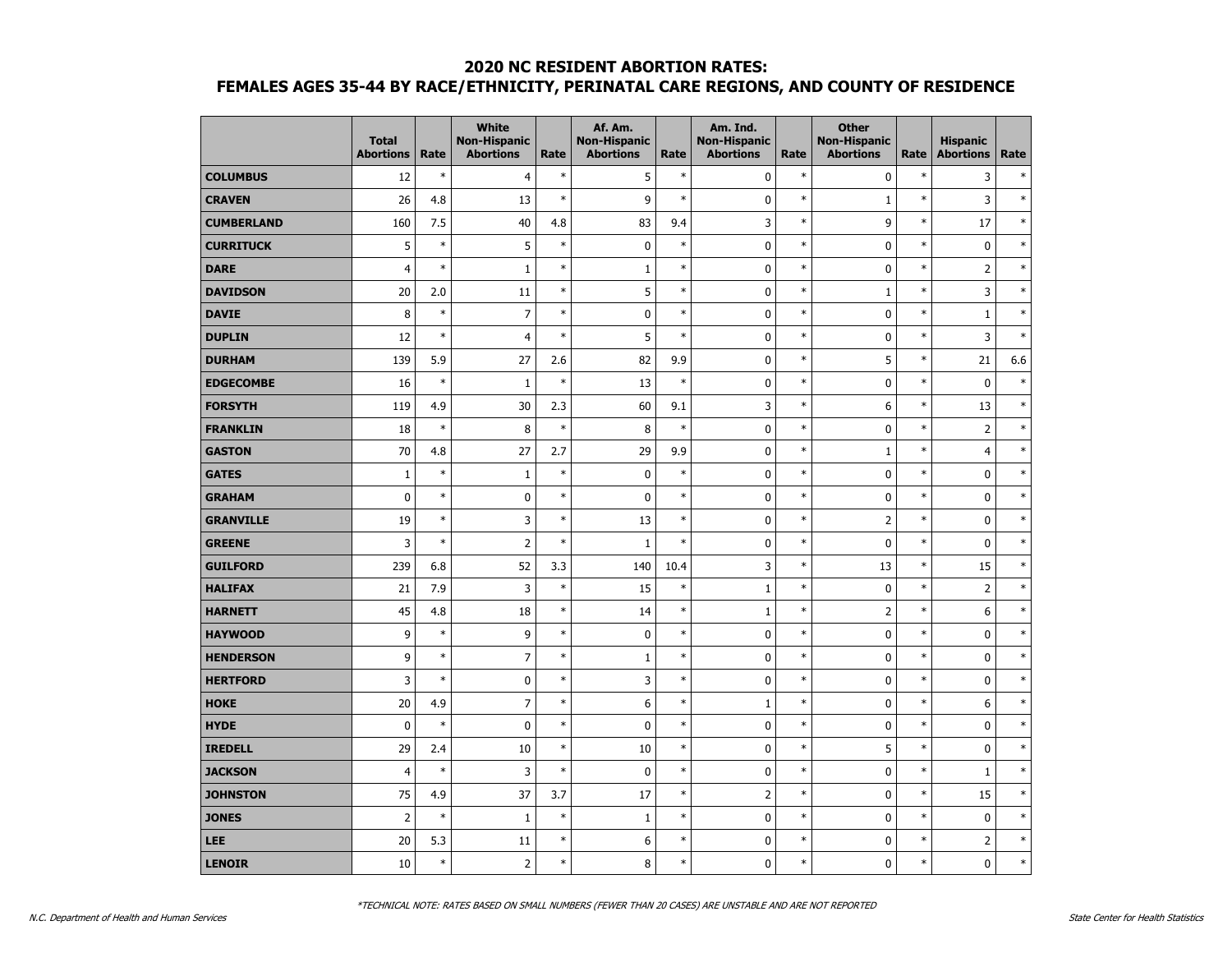|                   | <b>Total</b><br><b>Abortions</b> | Rate   | <b>White</b><br><b>Non-Hispanic</b><br><b>Abortions</b> | Rate   | Af. Am.<br><b>Non-Hispanic</b><br><b>Abortions</b> | Rate   | Am. Ind.<br><b>Non-Hispanic</b><br><b>Abortions</b> | Rate   | <b>Other</b><br><b>Non-Hispanic</b><br><b>Abortions</b> | Rate   | <b>Hispanic</b><br><b>Abortions</b> | Rate   |
|-------------------|----------------------------------|--------|---------------------------------------------------------|--------|----------------------------------------------------|--------|-----------------------------------------------------|--------|---------------------------------------------------------|--------|-------------------------------------|--------|
| <b>COLUMBUS</b>   | 12                               | $\ast$ | $\overline{4}$                                          | $\ast$ | 5                                                  | $\ast$ | $\mathbf 0$                                         | $\ast$ | $\mathbf 0$                                             | $\ast$ | 3                                   | $\ast$ |
| <b>CRAVEN</b>     | 26                               | 4.8    | 13                                                      | $\ast$ | 9                                                  | $\ast$ | 0                                                   | $\ast$ | $\mathbf 1$                                             | $\ast$ | 3                                   | $\ast$ |
| <b>CUMBERLAND</b> | 160                              | 7.5    | 40                                                      | 4.8    | 83                                                 | 9.4    | 3                                                   | $\ast$ | 9                                                       | $\ast$ | 17                                  | $\ast$ |
| <b>CURRITUCK</b>  | 5                                | $\ast$ | 5                                                       | $\ast$ | $\pmb{0}$                                          | $\ast$ | 0                                                   | $\ast$ | $\mathbf 0$                                             | $\ast$ | $\bf{0}$                            | $\ast$ |
| <b>DARE</b>       | $\overline{4}$                   | $\ast$ | $\mathbf 1$                                             | $\ast$ | $1\,$                                              | $\ast$ | 0                                                   | $\ast$ | 0                                                       | $\ast$ | $\overline{2}$                      | $\ast$ |
| <b>DAVIDSON</b>   | 20                               | 2.0    | 11                                                      | $\ast$ | 5                                                  | $\ast$ | $\mathbf 0$                                         | $\ast$ | $\mathbf{1}$                                            | $\ast$ | 3                                   | $\ast$ |
| <b>DAVIE</b>      | 8                                | $\ast$ | $\overline{7}$                                          | $\ast$ | $\pmb{0}$                                          | $\ast$ | $\mathbf 0$                                         | $\ast$ | $\mathbf 0$                                             | $\ast$ | $1\,$                               | $\ast$ |
| <b>DUPLIN</b>     | 12                               | $\ast$ | $\overline{4}$                                          | $\ast$ | 5                                                  | $\ast$ | 0                                                   | $\ast$ | 0                                                       | $\ast$ | 3                                   | $\ast$ |
| <b>DURHAM</b>     | 139                              | 5.9    | 27                                                      | 2.6    | 82                                                 | 9.9    | 0                                                   | $\ast$ | 5                                                       | $\ast$ | 21                                  | 6.6    |
| <b>EDGECOMBE</b>  | 16                               | $\ast$ | $1\,$                                                   | $\ast$ | 13                                                 | $\ast$ | 0                                                   | $\ast$ | $\mathbf 0$                                             | $\ast$ | $\pmb{0}$                           | $\ast$ |
| <b>FORSYTH</b>    | 119                              | 4.9    | 30                                                      | 2.3    | 60                                                 | 9.1    | 3                                                   | $\ast$ | 6                                                       | $\ast$ | 13                                  | $\ast$ |
| <b>FRANKLIN</b>   | 18                               | $\ast$ | 8                                                       | $\ast$ | 8                                                  | $\ast$ | 0                                                   | $\ast$ | 0                                                       | $\ast$ | $\overline{2}$                      | $\ast$ |
| <b>GASTON</b>     | 70                               | 4.8    | 27                                                      | 2.7    | 29                                                 | 9.9    | 0                                                   | $\ast$ | $\mathbf{1}$                                            | $\ast$ | 4                                   | $\ast$ |
| <b>GATES</b>      | $\mathbf{1}$                     | $\ast$ | $\mathbf{1}$                                            | $\ast$ | $\mathbf 0$                                        | $\ast$ | 0                                                   | $\ast$ | 0                                                       | $\ast$ | 0                                   | $\ast$ |
| <b>GRAHAM</b>     | $\mathbf 0$                      | $\ast$ | $\pmb{0}$                                               | $\ast$ | $\pmb{0}$                                          | $\ast$ | $\mathbf 0$                                         | $\ast$ | $\mathbf 0$                                             | $\ast$ | $\pmb{0}$                           | $\ast$ |
| <b>GRANVILLE</b>  | 19                               | $\ast$ | 3                                                       | $\ast$ | 13                                                 | $\ast$ | $\mathbf 0$                                         | $\ast$ | $\overline{2}$                                          | $\ast$ | $\pmb{0}$                           | $\ast$ |
| <b>GREENE</b>     | 3                                | $\ast$ | $\overline{2}$                                          | $\ast$ | $\mathbf{1}$                                       | $\ast$ | 0                                                   | $\ast$ | 0                                                       | $\ast$ | 0                                   | $\ast$ |
| <b>GUILFORD</b>   | 239                              | 6.8    | 52                                                      | 3.3    | 140                                                | 10.4   | 3                                                   | $\ast$ | 13                                                      | $\ast$ | 15                                  | $\ast$ |
| <b>HALIFAX</b>    | 21                               | 7.9    | 3                                                       | $\ast$ | 15                                                 | $\ast$ | $\mathbf{1}$                                        | $\ast$ | 0                                                       | $\ast$ | $\overline{2}$                      | $\ast$ |
| <b>HARNETT</b>    | 45                               | 4.8    | 18                                                      | $\ast$ | 14                                                 | $\ast$ | $\mathbf{1}$                                        | $\ast$ | $\overline{2}$                                          | $\ast$ | 6                                   | $\ast$ |
| <b>HAYWOOD</b>    | 9                                | $\ast$ | 9                                                       | $\ast$ | $\pmb{0}$                                          | $\ast$ | 0                                                   | $\ast$ | $\mathbf 0$                                             | $\ast$ | $\pmb{0}$                           | $\ast$ |
| <b>HENDERSON</b>  | 9                                | $\ast$ | $\overline{7}$                                          | $\ast$ | $\mathbf{1}$                                       | $\ast$ | 0                                                   | $\ast$ | 0                                                       | $\ast$ | 0                                   | $\ast$ |
| <b>HERTFORD</b>   | 3                                | $\ast$ | 0                                                       | $\ast$ | 3                                                  | $\ast$ | $\mathbf 0$                                         | $\ast$ | 0                                                       | $\ast$ | 0                                   | $\ast$ |
| <b>HOKE</b>       | 20                               | 4.9    | $\overline{7}$                                          | $\ast$ | 6                                                  | $\ast$ | $\mathbf{1}$                                        | $\ast$ | 0                                                       | $\ast$ | 6                                   | $\ast$ |
| <b>HYDE</b>       | $\mathbf 0$                      | $\ast$ | $\pmb{0}$                                               | $\ast$ | $\pmb{0}$                                          | $\ast$ | 0                                                   | $\ast$ | $\mathbf 0$                                             | $\ast$ | $\pmb{0}$                           | $\ast$ |
| <b>IREDELL</b>    | 29                               | 2.4    | 10                                                      | $\ast$ | 10                                                 | $\ast$ | $\pmb{0}$                                           | $\ast$ | 5                                                       | $\ast$ | $\pmb{0}$                           | $\ast$ |
| <b>JACKSON</b>    | $\overline{4}$                   | $\ast$ | 3                                                       | $\ast$ | $\pmb{0}$                                          | $\ast$ | $\mathbf 0$                                         | $\ast$ | $\mathbf 0$                                             | $\ast$ | $1\,$                               | $\ast$ |
| <b>JOHNSTON</b>   | 75                               | 4.9    | 37                                                      | 3.7    | 17                                                 | $\ast$ | 2                                                   | $\ast$ | 0                                                       | $\ast$ | 15                                  | $\ast$ |
| <b>JONES</b>      | $\overline{2}$                   | $\ast$ | $\mathbf{1}$                                            | $\ast$ | $\mathbf{1}$                                       | $\ast$ | 0                                                   | $\ast$ | 0                                                       | $\ast$ | $\mathbf 0$                         | $\ast$ |
| LEE               | 20                               | 5.3    | 11                                                      | $\ast$ | 6                                                  | $\ast$ | $\mathbf 0$                                         | $\ast$ | $\mathbf 0$                                             | $\ast$ | $\overline{2}$                      | $\ast$ |
| <b>LENOIR</b>     | 10                               | $\ast$ | $\overline{2}$                                          | $\ast$ | 8                                                  | $\ast$ | 0                                                   | $\ast$ | 0                                                       | $\ast$ | 0                                   | $\ast$ |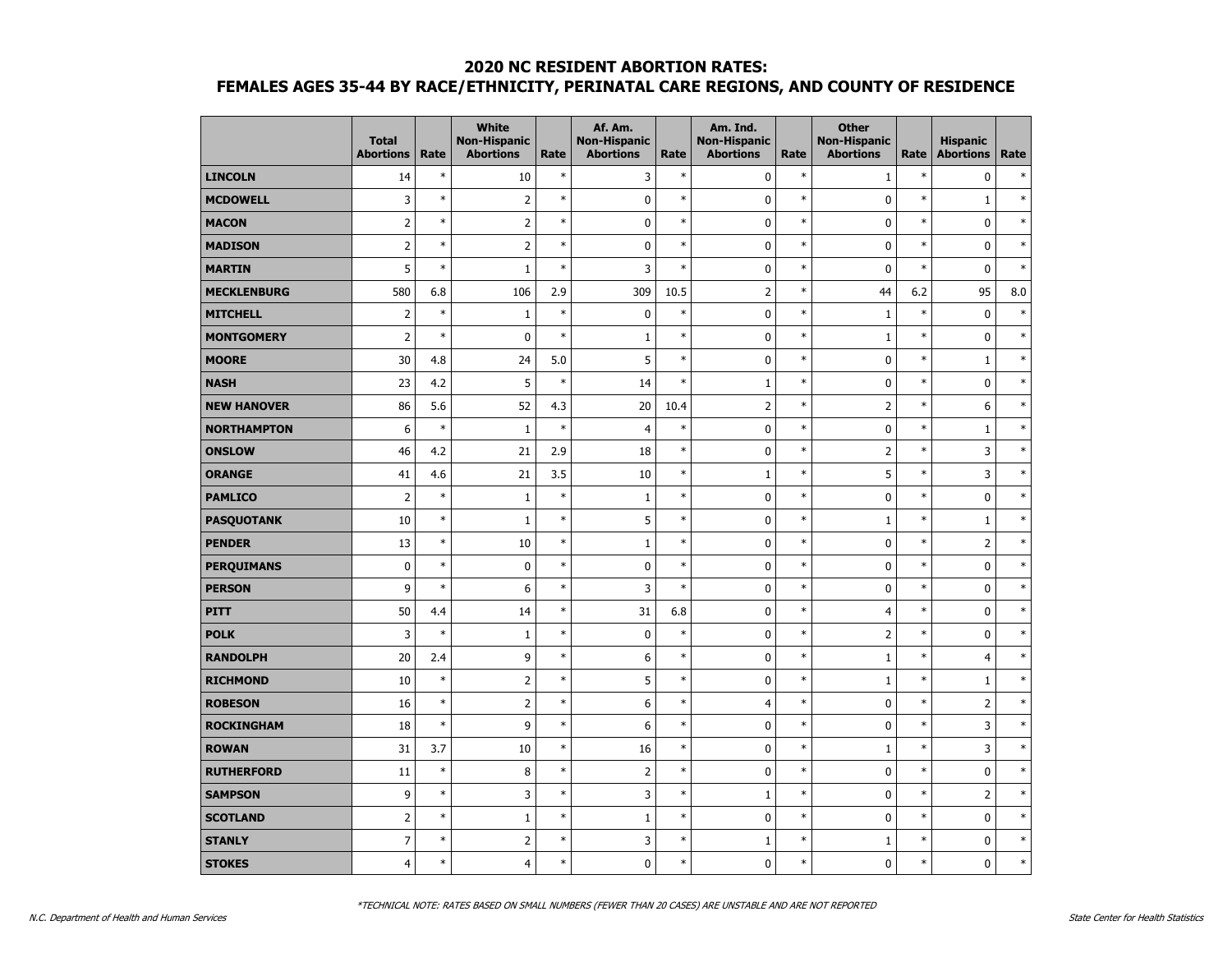|                    | <b>Total</b><br><b>Abortions</b> | Rate   | <b>White</b><br><b>Non-Hispanic</b><br><b>Abortions</b> | Rate   | Af. Am.<br><b>Non-Hispanic</b><br><b>Abortions</b> | Rate   | Am. Ind.<br><b>Non-Hispanic</b><br><b>Abortions</b> | Rate   | <b>Other</b><br><b>Non-Hispanic</b><br><b>Abortions</b> | Rate   | <b>Hispanic</b><br><b>Abortions</b> | Rate   |
|--------------------|----------------------------------|--------|---------------------------------------------------------|--------|----------------------------------------------------|--------|-----------------------------------------------------|--------|---------------------------------------------------------|--------|-------------------------------------|--------|
| <b>LINCOLN</b>     | 14                               | $\ast$ | 10                                                      | $\ast$ | 3                                                  | $\ast$ | 0                                                   | $\ast$ | $1\,$                                                   | $\ast$ | $\pmb{0}$                           | $\ast$ |
| <b>MCDOWELL</b>    | 3                                | $\ast$ | $\overline{2}$                                          | $\ast$ | $\mathbf 0$                                        | $\ast$ | 0                                                   | $\ast$ | $\mathbf 0$                                             | $\ast$ | $\mathbf 1$                         | $\ast$ |
| <b>MACON</b>       | $\overline{2}$                   | $\ast$ | $\overline{2}$                                          | $\ast$ | $\pmb{0}$                                          | $\ast$ | 0                                                   | $\ast$ | $\mathbf 0$                                             | $\ast$ | $\mathbf 0$                         | $\ast$ |
| <b>MADISON</b>     | $\overline{2}$                   | $\ast$ | $\overline{2}$                                          | $\ast$ | $\pmb{0}$                                          | $\ast$ | $\mathbf 0$                                         | $\ast$ | $\mathbf 0$                                             | $\ast$ | $\mathbf 0$                         | $\ast$ |
| <b>MARTIN</b>      | 5                                | $\ast$ | $\mathbf 1$                                             | $\ast$ | 3                                                  | $\ast$ | $\pmb{0}$                                           | $\ast$ | 0                                                       | $\ast$ | $\pmb{0}$                           | $\ast$ |
| <b>MECKLENBURG</b> | 580                              | 6.8    | 106                                                     | 2.9    | 309                                                | 10.5   | $\overline{2}$                                      | $\ast$ | 44                                                      | 6.2    | 95                                  | 8.0    |
| <b>MITCHELL</b>    | $\overline{2}$                   | $\ast$ | $\mathbf{1}$                                            | $\ast$ | $\pmb{0}$                                          | $\ast$ | 0                                                   | $\ast$ | $\mathbf{1}$                                            | $\ast$ | $\pmb{0}$                           | $\ast$ |
| <b>MONTGOMERY</b>  | $\overline{2}$                   | $\ast$ | 0                                                       | $\ast$ | $\mathbf 1$                                        | $\ast$ | $\mathbf 0$                                         | $\ast$ | $\mathbf{1}$                                            | $\ast$ | $\mathbf 0$                         | $\ast$ |
| <b>MOORE</b>       | 30                               | 4.8    | 24                                                      | 5.0    | 5                                                  | $\ast$ | 0                                                   | $\ast$ | $\mathbf 0$                                             | $\ast$ | $\mathbf{1}$                        | $\ast$ |
| <b>NASH</b>        | 23                               | 4.2    | 5                                                       | $\ast$ | 14                                                 | $\ast$ | $\mathbf 1$                                         | $\ast$ | 0                                                       | $\ast$ | $\pmb{0}$                           | $\ast$ |
| <b>NEW HANOVER</b> | 86                               | 5.6    | 52                                                      | 4.3    | 20                                                 | 10.4   | $\overline{2}$                                      | $\ast$ | $\overline{2}$                                          | $\ast$ | 6                                   | $\ast$ |
| <b>NORTHAMPTON</b> | 6                                | $\ast$ | $1\,$                                                   | $\ast$ | $\overline{4}$                                     | $\ast$ | 0                                                   | $\ast$ | $\mathbf 0$                                             | $\ast$ | $1\,$                               | $\ast$ |
| <b>ONSLOW</b>      | 46                               | 4.2    | 21                                                      | 2.9    | 18                                                 | $\ast$ | 0                                                   | $\ast$ | $\overline{2}$                                          | $\ast$ | 3                                   | $\ast$ |
| <b>ORANGE</b>      | 41                               | 4.6    | 21                                                      | 3.5    | 10                                                 | $\ast$ | $\mathbf{1}$                                        | $\ast$ | 5                                                       | $\ast$ | 3                                   | $\ast$ |
| <b>PAMLICO</b>     | $\overline{2}$                   | $\ast$ | $\mathbf 1$                                             | $\ast$ | $\mathbf 1$                                        | $\ast$ | 0                                                   | $\ast$ | $\mathbf 0$                                             | $\ast$ | $\pmb{0}$                           | $\ast$ |
| <b>PASQUOTANK</b>  | 10                               | $\ast$ | $\mathbf 1$                                             | $\ast$ | 5                                                  | $\ast$ | $\mathbf 0$                                         | $\ast$ | $\mathbf{1}$                                            | $\ast$ | $1\,$                               | $\ast$ |
| <b>PENDER</b>      | 13                               | $\ast$ | 10                                                      | $\ast$ | $\mathbf{1}$                                       | $\ast$ | 0                                                   | $\ast$ | 0                                                       | $\ast$ | $\overline{2}$                      | $\ast$ |
| <b>PERQUIMANS</b>  | $\mathbf 0$                      | $\ast$ | $\mathbf 0$                                             | $\ast$ | $\pmb{0}$                                          | $\ast$ | 0                                                   | $\ast$ | $\mathbf 0$                                             | $\ast$ | $\mathbf 0$                         | $\ast$ |
| <b>PERSON</b>      | 9                                | $\ast$ | 6                                                       | $\ast$ | 3                                                  | $\ast$ | 0                                                   | $\ast$ | $\mathbf 0$                                             | $\ast$ | $\mathbf 0$                         | $\ast$ |
| <b>PITT</b>        | 50                               | 4.4    | 14                                                      | $\ast$ | 31                                                 | 6.8    | $\mathbf 0$                                         | $\ast$ | $\overline{4}$                                          | $\ast$ | $\pmb{0}$                           | $\ast$ |
| <b>POLK</b>        | 3                                | $\ast$ | $\mathbf{1}$                                            | $\ast$ | $\pmb{0}$                                          | $\ast$ | 0                                                   | $\ast$ | $\overline{2}$                                          | $\ast$ | 0                                   | $\ast$ |
| <b>RANDOLPH</b>    | 20                               | 2.4    | 9                                                       | $\ast$ | 6                                                  | $\ast$ | $\mathbf 0$                                         | $\ast$ | $\mathbf{1}$                                            | $\ast$ | $\overline{4}$                      | $\ast$ |
| <b>RICHMOND</b>    | 10                               | $\ast$ | $\overline{2}$                                          | $\ast$ | 5                                                  | $\ast$ | $\mathbf 0$                                         | $\ast$ | $\mathbf{1}$                                            | $\ast$ | $\mathbf{1}$                        | $\ast$ |
| <b>ROBESON</b>     | 16                               | $\ast$ | $\overline{2}$                                          | $\ast$ | $\boldsymbol{6}$                                   | $\ast$ | $\overline{4}$                                      | $\ast$ | $\mathbf 0$                                             | $\ast$ | $\overline{2}$                      | $\ast$ |
| <b>ROCKINGHAM</b>  | 18                               | $\ast$ | 9                                                       | $\ast$ | 6                                                  | $\ast$ | 0                                                   | $\ast$ | 0                                                       | $\ast$ | 3                                   | $\ast$ |
| <b>ROWAN</b>       | 31                               | 3.7    | 10                                                      | $\ast$ | 16                                                 | $\ast$ | 0                                                   | $\ast$ | $\mathbf{1}$                                            | $\ast$ | 3                                   | $\ast$ |
| <b>RUTHERFORD</b>  | 11                               | $\ast$ | 8                                                       | $\ast$ | $\overline{2}$                                     | $\ast$ | 0                                                   | $\ast$ | $\mathbf 0$                                             | $\ast$ | $\mathbf 0$                         | $\ast$ |
| <b>SAMPSON</b>     | 9                                | $\ast$ | 3                                                       | $\ast$ | 3                                                  | $\ast$ | $\mathbf{1}$                                        | $\ast$ | $\mathbf 0$                                             | $\ast$ | $\overline{2}$                      | $\ast$ |
| <b>SCOTLAND</b>    | $\overline{2}$                   | $\ast$ | $1\,$                                                   | $\ast$ | $\mathbf 1$                                        | $\ast$ | 0                                                   | $\ast$ | 0                                                       | $\ast$ | $\pmb{0}$                           | $\ast$ |
| <b>STANLY</b>      | $\overline{7}$                   | $\ast$ | $\overline{2}$                                          | $\ast$ | 3                                                  | $\ast$ | $\mathbf{1}$                                        | $\ast$ | $\mathbf 1$                                             | $\ast$ | $\pmb{0}$                           | $\ast$ |
| <b>STOKES</b>      | $\overline{4}$                   | $\ast$ | $\overline{4}$                                          | $\ast$ | $\mathbf 0$                                        | $\ast$ | 0                                                   | $\ast$ | 0                                                       | $\ast$ | $\mathbf 0$                         | $\ast$ |